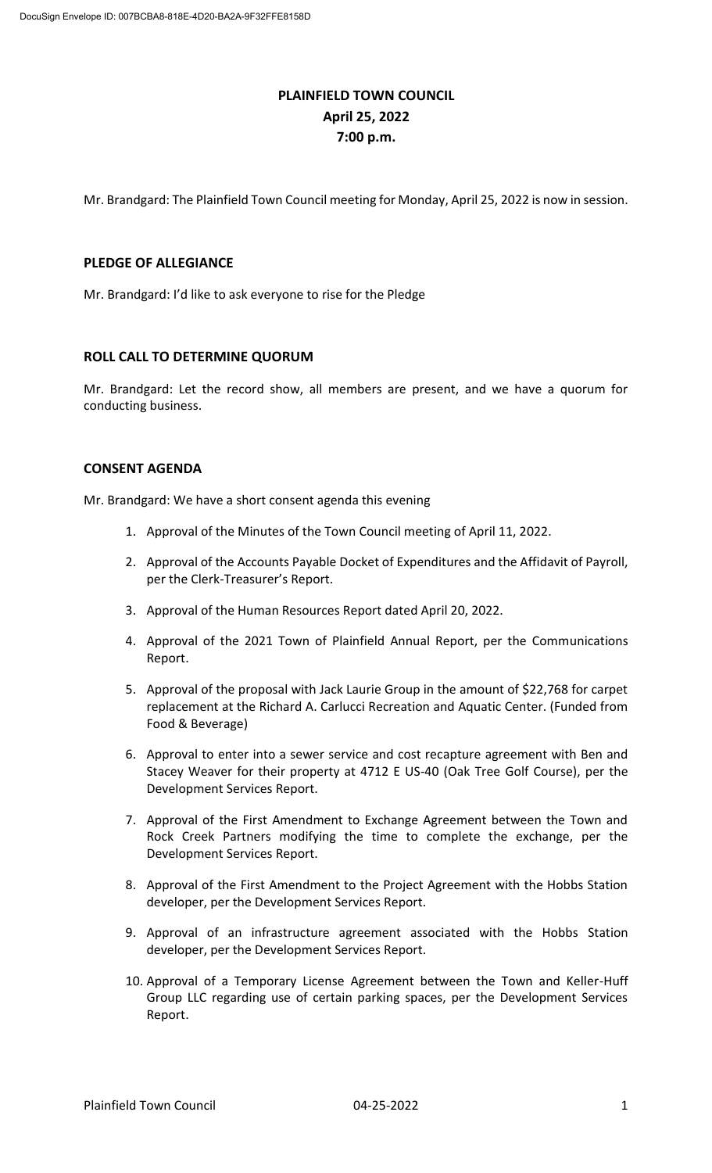# **PLAINFIELD TOWN COUNCIL April 25, 2022 7:00 p.m.**

Mr. Brandgard: The Plainfield Town Council meeting for Monday, April 25, 2022 is now in session.

# **PLEDGE OF ALLEGIANCE**

Mr. Brandgard: I'd like to ask everyone to rise for the Pledge

# **ROLL CALL TO DETERMINE QUORUM**

Mr. Brandgard: Let the record show, all members are present, and we have a quorum for conducting business.

# **CONSENT AGENDA**

Mr. Brandgard: We have a short consent agenda this evening

- 1. Approval of the Minutes of the Town Council meeting of April 11, 2022.
- 2. Approval of the Accounts Payable Docket of Expenditures and the Affidavit of Payroll, per the Clerk-Treasurer's Report.
- 3. Approval of the Human Resources Report dated April 20, 2022.
- 4. Approval of the 2021 Town of Plainfield Annual Report, per the Communications Report.
- 5. Approval of the proposal with Jack Laurie Group in the amount of \$22,768 for carpet replacement at the Richard A. Carlucci Recreation and Aquatic Center. (Funded from Food & Beverage)
- 6. Approval to enter into a sewer service and cost recapture agreement with Ben and Stacey Weaver for their property at 4712 E US-40 (Oak Tree Golf Course), per the Development Services Report.
- 7. Approval of the First Amendment to Exchange Agreement between the Town and Rock Creek Partners modifying the time to complete the exchange, per the Development Services Report.
- 8. Approval of the First Amendment to the Project Agreement with the Hobbs Station developer, per the Development Services Report.
- 9. Approval of an infrastructure agreement associated with the Hobbs Station developer, per the Development Services Report.
- 10. Approval of a Temporary License Agreement between the Town and Keller-Huff Group LLC regarding use of certain parking spaces, per the Development Services Report.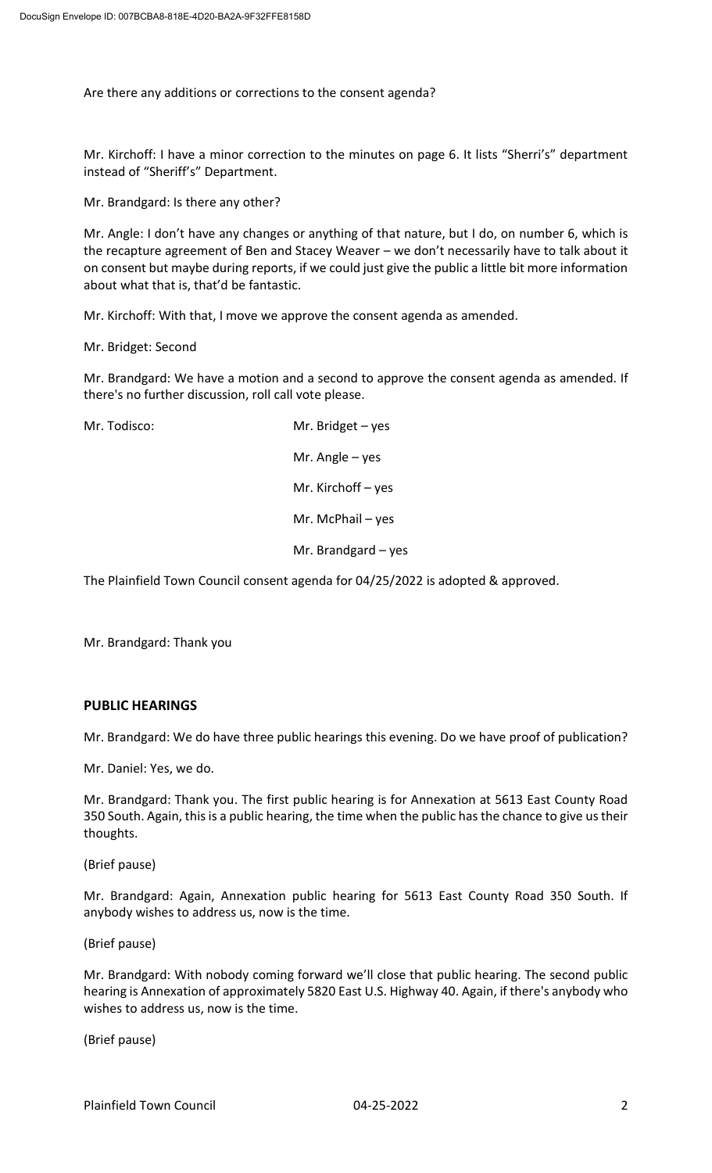Are there any additions or corrections to the consent agenda?

Mr. Kirchoff: I have a minor correction to the minutes on page 6. It lists "Sherri's" department instead of "Sheriff's" Department.

Mr. Brandgard: Is there any other?

Mr. Angle: I don't have any changes or anything of that nature, but I do, on number 6, which is the recapture agreement of Ben and Stacey Weaver – we don't necessarily have to talk about it on consent but maybe during reports, if we could just give the public a little bit more information about what that is, that'd be fantastic.

Mr. Kirchoff: With that, I move we approve the consent agenda as amended.

Mr. Bridget: Second

Mr. Brandgard: We have a motion and a second to approve the consent agenda as amended. If there's no further discussion, roll call vote please.

Mr. Todisco: Mr. Bridget – yes Mr. Angle – yes

Mr. Kirchoff – yes

Mr. McPhail – yes

Mr. Brandgard – yes

The Plainfield Town Council consent agenda for 04/25/2022 is adopted & approved.

Mr. Brandgard: Thank you

# **PUBLIC HEARINGS**

Mr. Brandgard: We do have three public hearings this evening. Do we have proof of publication?

Mr. Daniel: Yes, we do.

Mr. Brandgard: Thank you. The first public hearing is for Annexation at 5613 East County Road 350 South. Again, this is a public hearing, the time when the public has the chance to give us their thoughts.

(Brief pause)

Mr. Brandgard: Again, Annexation public hearing for 5613 East County Road 350 South. If anybody wishes to address us, now is the time.

(Brief pause)

Mr. Brandgard: With nobody coming forward we'll close that public hearing. The second public hearing is Annexation of approximately 5820 East U.S. Highway 40. Again, if there's anybody who wishes to address us, now is the time.

(Brief pause)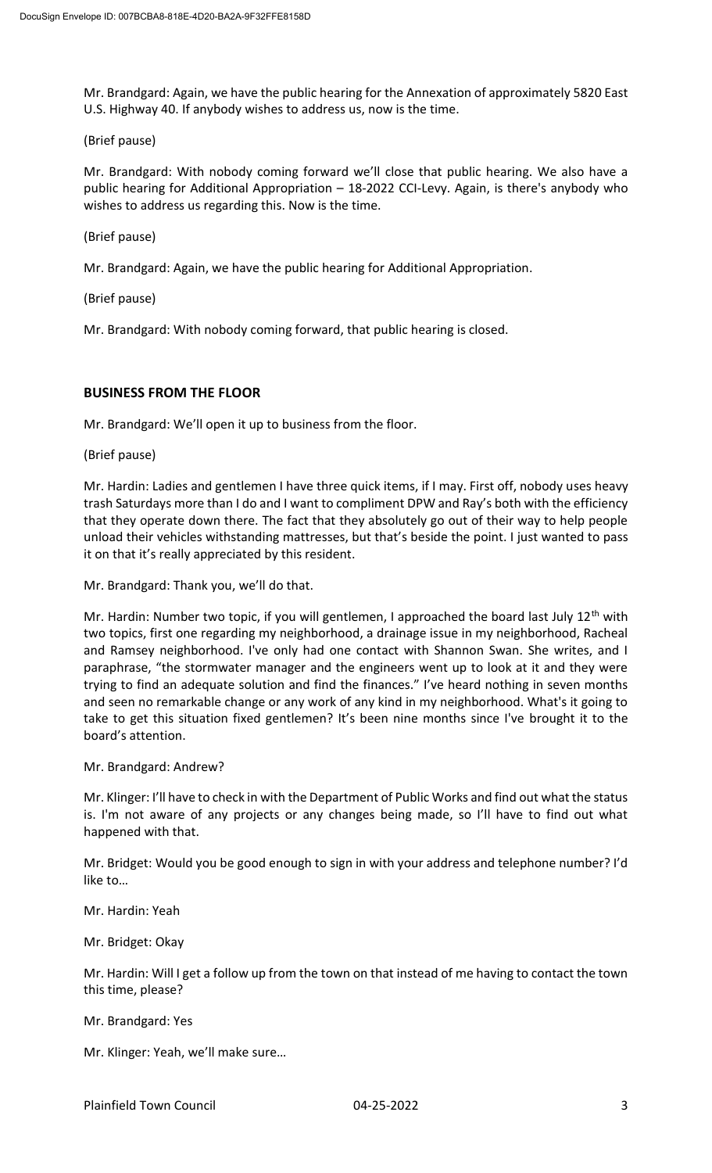Mr. Brandgard: Again, we have the public hearing for the Annexation of approximately 5820 East U.S. Highway 40. If anybody wishes to address us, now is the time.

# (Brief pause)

Mr. Brandgard: With nobody coming forward we'll close that public hearing. We also have a public hearing for Additional Appropriation – 18-2022 CCI-Levy. Again, is there's anybody who wishes to address us regarding this. Now is the time.

(Brief pause)

Mr. Brandgard: Again, we have the public hearing for Additional Appropriation.

(Brief pause)

Mr. Brandgard: With nobody coming forward, that public hearing is closed.

# **BUSINESS FROM THE FLOOR**

Mr. Brandgard: We'll open it up to business from the floor.

(Brief pause)

Mr. Hardin: Ladies and gentlemen I have three quick items, if I may. First off, nobody uses heavy trash Saturdays more than I do and I want to compliment DPW and Ray's both with the efficiency that they operate down there. The fact that they absolutely go out of their way to help people unload their vehicles withstanding mattresses, but that's beside the point. I just wanted to pass it on that it's really appreciated by this resident.

Mr. Brandgard: Thank you, we'll do that.

Mr. Hardin: Number two topic, if you will gentlemen, I approached the board last July  $12<sup>th</sup>$  with two topics, first one regarding my neighborhood, a drainage issue in my neighborhood, Racheal and Ramsey neighborhood. I've only had one contact with Shannon Swan. She writes, and I paraphrase, "the stormwater manager and the engineers went up to look at it and they were trying to find an adequate solution and find the finances." I've heard nothing in seven months and seen no remarkable change or any work of any kind in my neighborhood. What's it going to take to get this situation fixed gentlemen? It's been nine months since I've brought it to the board's attention.

Mr. Brandgard: Andrew?

Mr. Klinger: I'll have to check in with the Department of Public Works and find out what the status is. I'm not aware of any projects or any changes being made, so I'll have to find out what happened with that.

Mr. Bridget: Would you be good enough to sign in with your address and telephone number? I'd like to…

Mr. Hardin: Yeah

Mr. Bridget: Okay

Mr. Hardin: Will I get a follow up from the town on that instead of me having to contact the town this time, please?

Mr. Brandgard: Yes

Mr. Klinger: Yeah, we'll make sure…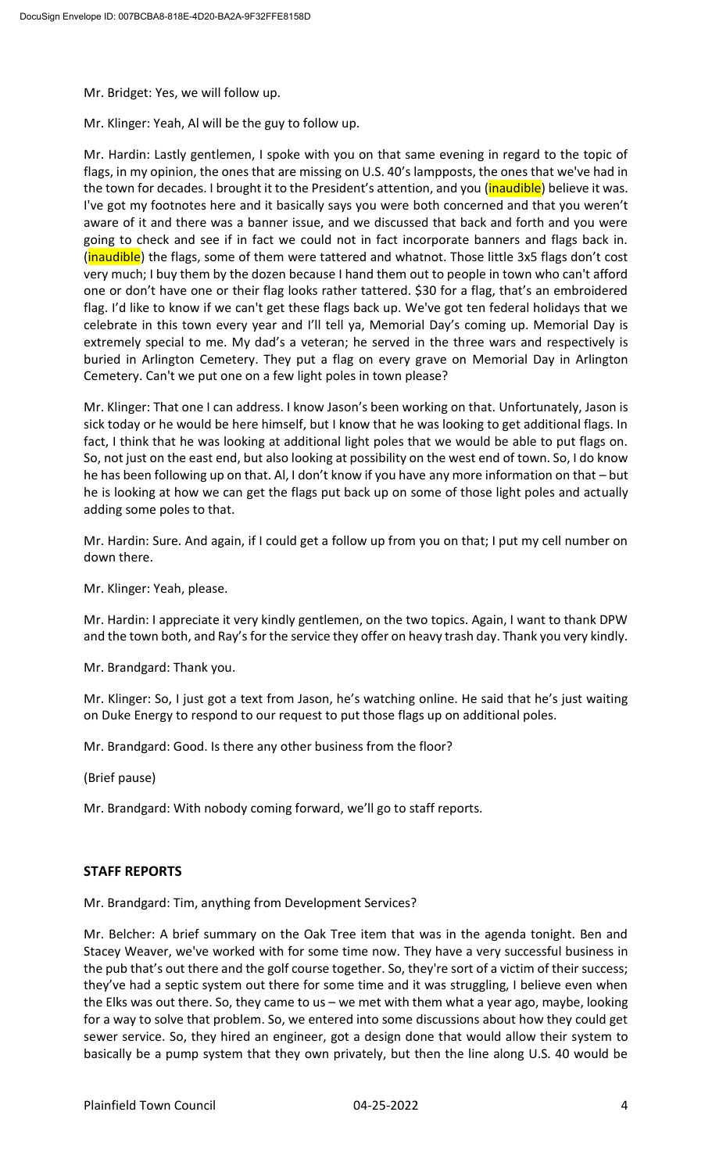Mr. Bridget: Yes, we will follow up.

Mr. Klinger: Yeah, Al will be the guy to follow up.

Mr. Hardin: Lastly gentlemen, I spoke with you on that same evening in regard to the topic of flags, in my opinion, the ones that are missing on U.S. 40's lampposts, the ones that we've had in the town for decades. I brought it to the President's attention, and you (*inaudible*) believe it was. I've got my footnotes here and it basically says you were both concerned and that you weren't aware of it and there was a banner issue, and we discussed that back and forth and you were going to check and see if in fact we could not in fact incorporate banners and flags back in. (inaudible) the flags, some of them were tattered and whatnot. Those little 3x5 flags don't cost very much; I buy them by the dozen because I hand them out to people in town who can't afford one or don't have one or their flag looks rather tattered. \$30 for a flag, that's an embroidered flag. I'd like to know if we can't get these flags back up. We've got ten federal holidays that we celebrate in this town every year and I'll tell ya, Memorial Day's coming up. Memorial Day is extremely special to me. My dad's a veteran; he served in the three wars and respectively is buried in Arlington Cemetery. They put a flag on every grave on Memorial Day in Arlington Cemetery. Can't we put one on a few light poles in town please?

Mr. Klinger: That one I can address. I know Jason's been working on that. Unfortunately, Jason is sick today or he would be here himself, but I know that he was looking to get additional flags. In fact, I think that he was looking at additional light poles that we would be able to put flags on. So, not just on the east end, but also looking at possibility on the west end of town. So, I do know he has been following up on that. Al, I don't know if you have any more information on that – but he is looking at how we can get the flags put back up on some of those light poles and actually adding some poles to that.

Mr. Hardin: Sure. And again, if I could get a follow up from you on that; I put my cell number on down there.

Mr. Klinger: Yeah, please.

Mr. Hardin: I appreciate it very kindly gentlemen, on the two topics. Again, I want to thank DPW and the town both, and Ray's for the service they offer on heavy trash day. Thank you very kindly.

Mr. Brandgard: Thank you.

Mr. Klinger: So, I just got a text from Jason, he's watching online. He said that he's just waiting on Duke Energy to respond to our request to put those flags up on additional poles.

Mr. Brandgard: Good. Is there any other business from the floor?

(Brief pause)

Mr. Brandgard: With nobody coming forward, we'll go to staff reports.

# **STAFF REPORTS**

Mr. Brandgard: Tim, anything from Development Services?

Mr. Belcher: A brief summary on the Oak Tree item that was in the agenda tonight. Ben and Stacey Weaver, we've worked with for some time now. They have a very successful business in the pub that's out there and the golf course together. So, they're sort of a victim of their success; they've had a septic system out there for some time and it was struggling, I believe even when the Elks was out there. So, they came to us – we met with them what a year ago, maybe, looking for a way to solve that problem. So, we entered into some discussions about how they could get sewer service. So, they hired an engineer, got a design done that would allow their system to basically be a pump system that they own privately, but then the line along U.S. 40 would be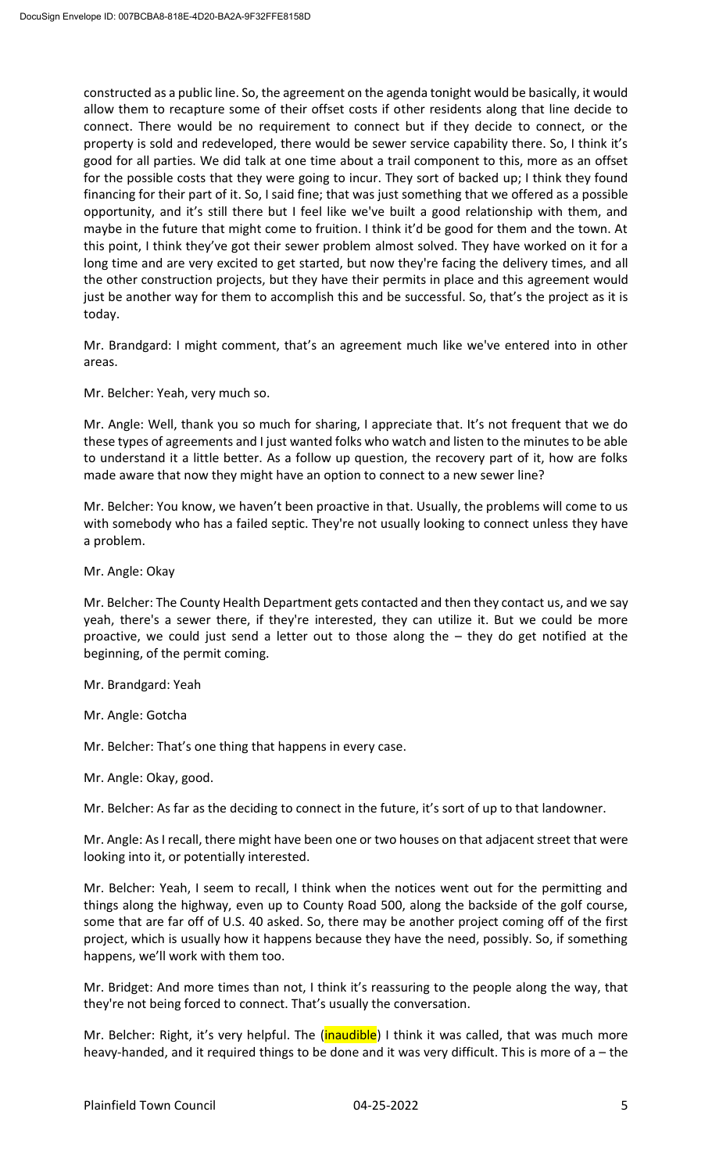constructed as a public line. So, the agreement on the agenda tonight would be basically, it would allow them to recapture some of their offset costs if other residents along that line decide to connect. There would be no requirement to connect but if they decide to connect, or the property is sold and redeveloped, there would be sewer service capability there. So, I think it's good for all parties. We did talk at one time about a trail component to this, more as an offset for the possible costs that they were going to incur. They sort of backed up; I think they found financing for their part of it. So, I said fine; that was just something that we offered as a possible opportunity, and it's still there but I feel like we've built a good relationship with them, and maybe in the future that might come to fruition. I think it'd be good for them and the town. At this point, I think they've got their sewer problem almost solved. They have worked on it for a long time and are very excited to get started, but now they're facing the delivery times, and all the other construction projects, but they have their permits in place and this agreement would just be another way for them to accomplish this and be successful. So, that's the project as it is today.

Mr. Brandgard: I might comment, that's an agreement much like we've entered into in other areas.

Mr. Belcher: Yeah, very much so.

Mr. Angle: Well, thank you so much for sharing, I appreciate that. It's not frequent that we do these types of agreements and I just wanted folks who watch and listen to the minutes to be able to understand it a little better. As a follow up question, the recovery part of it, how are folks made aware that now they might have an option to connect to a new sewer line?

Mr. Belcher: You know, we haven't been proactive in that. Usually, the problems will come to us with somebody who has a failed septic. They're not usually looking to connect unless they have a problem.

Mr. Angle: Okay

Mr. Belcher: The County Health Department gets contacted and then they contact us, and we say yeah, there's a sewer there, if they're interested, they can utilize it. But we could be more proactive, we could just send a letter out to those along the – they do get notified at the beginning, of the permit coming.

Mr. Brandgard: Yeah

Mr. Angle: Gotcha

Mr. Belcher: That's one thing that happens in every case.

Mr. Angle: Okay, good.

Mr. Belcher: As far as the deciding to connect in the future, it's sort of up to that landowner.

Mr. Angle: As I recall, there might have been one or two houses on that adjacent street that were looking into it, or potentially interested.

Mr. Belcher: Yeah, I seem to recall, I think when the notices went out for the permitting and things along the highway, even up to County Road 500, along the backside of the golf course, some that are far off of U.S. 40 asked. So, there may be another project coming off of the first project, which is usually how it happens because they have the need, possibly. So, if something happens, we'll work with them too.

Mr. Bridget: And more times than not, I think it's reassuring to the people along the way, that they're not being forced to connect. That's usually the conversation.

Mr. Belcher: Right, it's very helpful. The (*inaudible*) I think it was called, that was much more heavy-handed, and it required things to be done and it was very difficult. This is more of a – the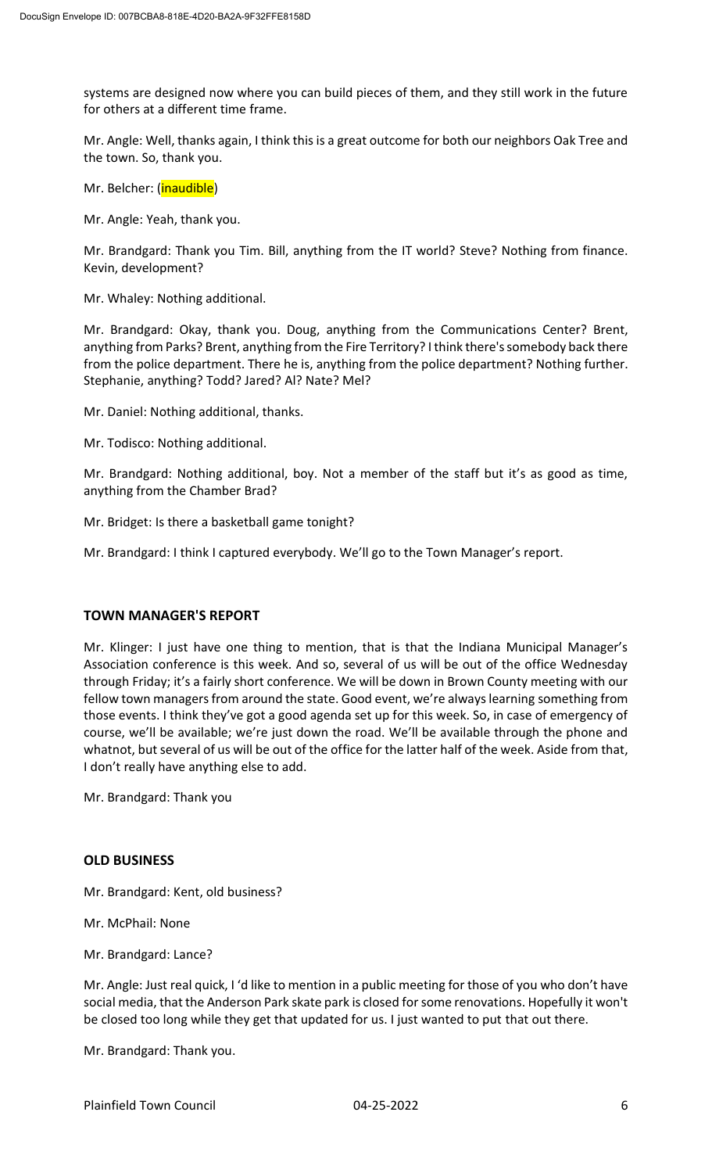systems are designed now where you can build pieces of them, and they still work in the future for others at a different time frame.

Mr. Angle: Well, thanks again, I think this is a great outcome for both our neighbors Oak Tree and the town. So, thank you.

Mr. Belcher: (inaudible)

Mr. Angle: Yeah, thank you.

Mr. Brandgard: Thank you Tim. Bill, anything from the IT world? Steve? Nothing from finance. Kevin, development?

Mr. Whaley: Nothing additional.

Mr. Brandgard: Okay, thank you. Doug, anything from the Communications Center? Brent, anything from Parks? Brent, anything from the Fire Territory? I think there's somebody back there from the police department. There he is, anything from the police department? Nothing further. Stephanie, anything? Todd? Jared? Al? Nate? Mel?

Mr. Daniel: Nothing additional, thanks.

Mr. Todisco: Nothing additional.

Mr. Brandgard: Nothing additional, boy. Not a member of the staff but it's as good as time, anything from the Chamber Brad?

Mr. Bridget: Is there a basketball game tonight?

Mr. Brandgard: I think I captured everybody. We'll go to the Town Manager's report.

# **TOWN MANAGER'S REPORT**

Mr. Klinger: I just have one thing to mention, that is that the Indiana Municipal Manager's Association conference is this week. And so, several of us will be out of the office Wednesday through Friday; it's a fairly short conference. We will be down in Brown County meeting with our fellow town managers from around the state. Good event, we're always learning something from those events. I think they've got a good agenda set up for this week. So, in case of emergency of course, we'll be available; we're just down the road. We'll be available through the phone and whatnot, but several of us will be out of the office for the latter half of the week. Aside from that, I don't really have anything else to add.

Mr. Brandgard: Thank you

#### **OLD BUSINESS**

Mr. Brandgard: Kent, old business?

- Mr. McPhail: None
- Mr. Brandgard: Lance?

Mr. Angle: Just real quick, I 'd like to mention in a public meeting for those of you who don't have social media, that the Anderson Park skate park is closed for some renovations. Hopefully it won't be closed too long while they get that updated for us. I just wanted to put that out there.

Mr. Brandgard: Thank you.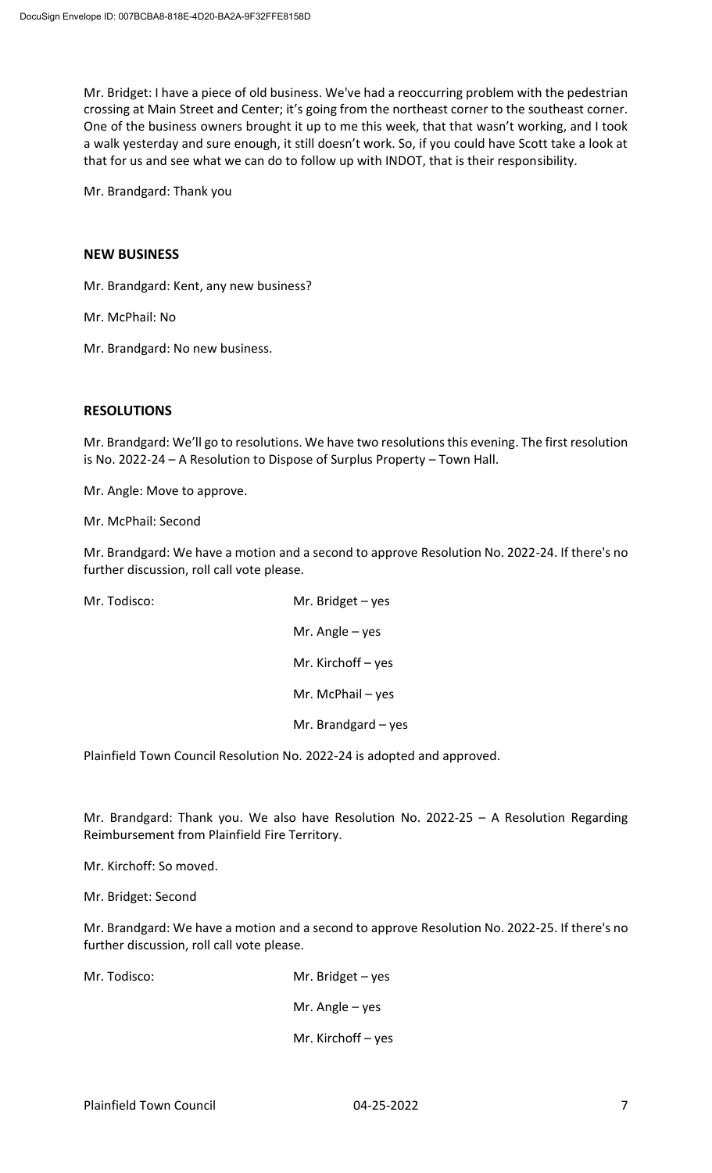Mr. Bridget: I have a piece of old business. We've had a reoccurring problem with the pedestrian crossing at Main Street and Center; it's going from the northeast corner to the southeast corner. One of the business owners brought it up to me this week, that that wasn't working, and I took a walk yesterday and sure enough, it still doesn't work. So, if you could have Scott take a look at that for us and see what we can do to follow up with INDOT, that is their responsibility.

Mr. Brandgard: Thank you

# **NEW BUSINESS**

Mr. Brandgard: Kent, any new business?

Mr. McPhail: No

Mr. Brandgard: No new business.

# **RESOLUTIONS**

Mr. Brandgard: We'll go to resolutions. We have two resolutions this evening. The first resolution is No. 2022-24 – A Resolution to Dispose of Surplus Property – Town Hall.

Mr. Angle: Move to approve.

Mr. McPhail: Second

Mr. Brandgard: We have a motion and a second to approve Resolution No. 2022-24. If there's no further discussion, roll call vote please.

Mr. Todisco: Mr. Bridget – yes Mr. Angle – yes Mr. Kirchoff – yes Mr. McPhail – yes Mr. Brandgard – yes

Plainfield Town Council Resolution No. 2022-24 is adopted and approved.

Mr. Brandgard: Thank you. We also have Resolution No. 2022-25 – A Resolution Regarding Reimbursement from Plainfield Fire Territory.

Mr. Kirchoff: So moved.

Mr. Bridget: Second

Mr. Brandgard: We have a motion and a second to approve Resolution No. 2022-25. If there's no further discussion, roll call vote please.

Mr. Todisco: Mr. Bridget – yes Mr. Angle – yes Mr. Kirchoff – yes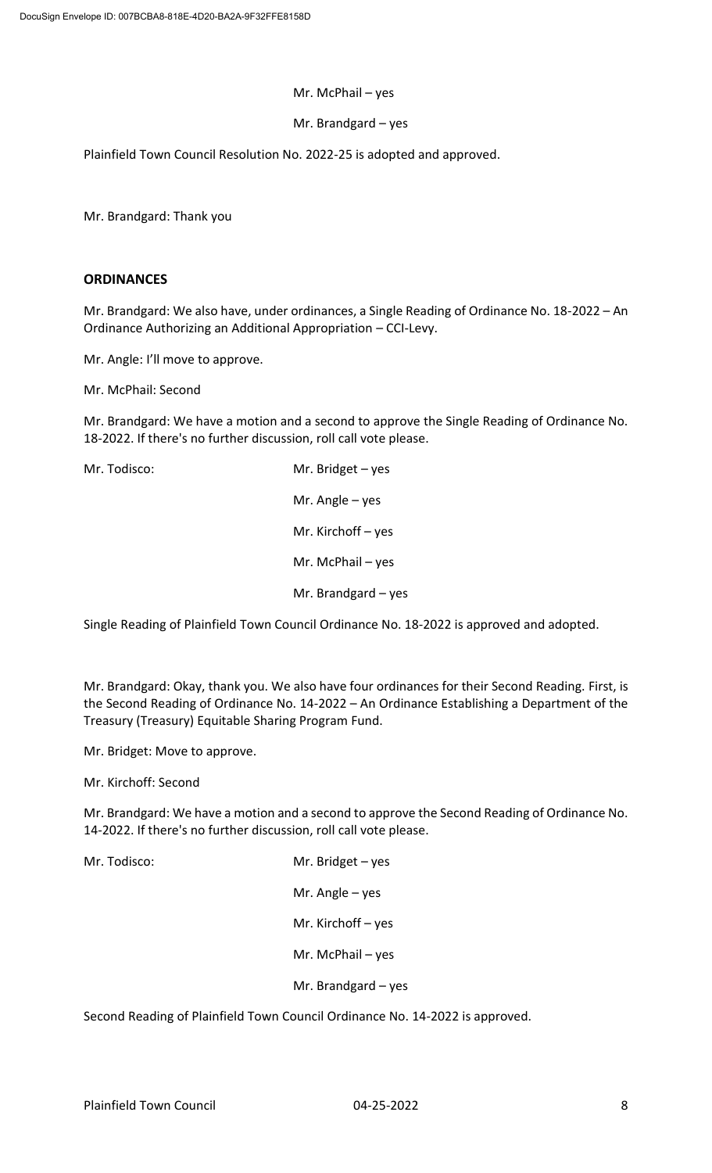### Mr. McPhail – yes

# Mr. Brandgard – yes

Plainfield Town Council Resolution No. 2022-25 is adopted and approved.

Mr. Brandgard: Thank you

# **ORDINANCES**

Mr. Brandgard: We also have, under ordinances, a Single Reading of Ordinance No. 18-2022 – An Ordinance Authorizing an Additional Appropriation – CCI-Levy.

Mr. Angle: I'll move to approve.

Mr. McPhail: Second

Mr. Brandgard: We have a motion and a second to approve the Single Reading of Ordinance No. 18-2022. If there's no further discussion, roll call vote please.

Mr. Todisco: Mr. Bridget – yes Mr. Angle – yes Mr. Kirchoff – yes Mr. McPhail – yes Mr. Brandgard – yes

Single Reading of Plainfield Town Council Ordinance No. 18-2022 is approved and adopted.

Mr. Brandgard: Okay, thank you. We also have four ordinances for their Second Reading. First, is the Second Reading of Ordinance No. 14-2022 – An Ordinance Establishing a Department of the Treasury (Treasury) Equitable Sharing Program Fund.

Mr. Bridget: Move to approve.

Mr. Kirchoff: Second

Mr. Brandgard: We have a motion and a second to approve the Second Reading of Ordinance No. 14-2022. If there's no further discussion, roll call vote please.

Mr. Todisco: Mr. Bridget – yes Mr. Angle – yes Mr. Kirchoff – yes Mr. McPhail – yes Mr. Brandgard – yes

Second Reading of Plainfield Town Council Ordinance No. 14-2022 is approved.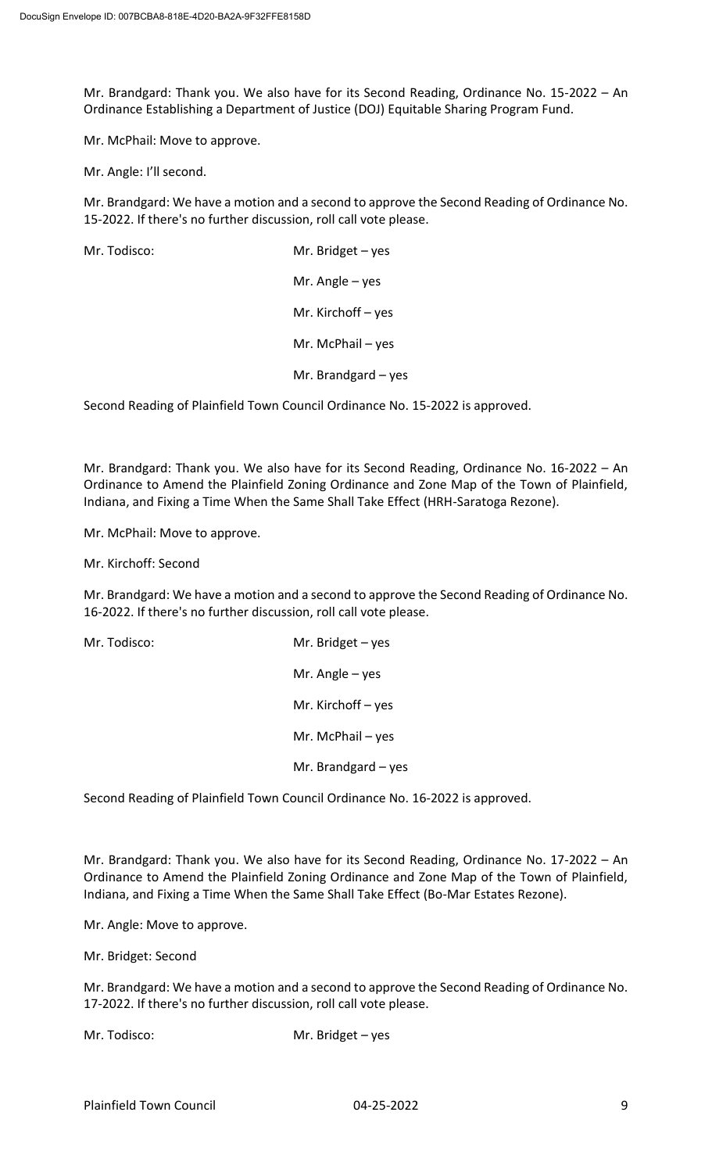Mr. Brandgard: Thank you. We also have for its Second Reading, Ordinance No. 15-2022 – An Ordinance Establishing a Department of Justice (DOJ) Equitable Sharing Program Fund.

Mr. McPhail: Move to approve.

Mr. Angle: I'll second.

Mr. Brandgard: We have a motion and a second to approve the Second Reading of Ordinance No. 15-2022. If there's no further discussion, roll call vote please.

| Mr. Todisco: | Mr. Bridget $-$ yes   |
|--------------|-----------------------|
|              | Mr. Angle $-$ yes     |
|              | Mr. Kirchoff $-$ yes  |
|              | Mr. McPhail $-$ yes   |
|              | Mr. Brandgard $-$ yes |

Second Reading of Plainfield Town Council Ordinance No. 15-2022 is approved.

Mr. Brandgard: Thank you. We also have for its Second Reading, Ordinance No. 16-2022 – An Ordinance to Amend the Plainfield Zoning Ordinance and Zone Map of the Town of Plainfield, Indiana, and Fixing a Time When the Same Shall Take Effect (HRH-Saratoga Rezone).

Mr. McPhail: Move to approve.

Mr. Kirchoff: Second

Mr. Brandgard: We have a motion and a second to approve the Second Reading of Ordinance No. 16-2022. If there's no further discussion, roll call vote please.

| Mr. Todisco: | Mr. Bridget $-$ yes   |
|--------------|-----------------------|
|              | Mr. Angle $-$ yes     |
|              | Mr. Kirchoff $-$ yes  |
|              | Mr. McPhail $-$ yes   |
|              | Mr. Brandgard $-$ yes |

Second Reading of Plainfield Town Council Ordinance No. 16-2022 is approved.

Mr. Brandgard: Thank you. We also have for its Second Reading, Ordinance No. 17-2022 – An Ordinance to Amend the Plainfield Zoning Ordinance and Zone Map of the Town of Plainfield, Indiana, and Fixing a Time When the Same Shall Take Effect (Bo-Mar Estates Rezone).

Mr. Angle: Move to approve.

Mr. Bridget: Second

Mr. Brandgard: We have a motion and a second to approve the Second Reading of Ordinance No. 17-2022. If there's no further discussion, roll call vote please.

Mr. Todisco: Mr. Bridget – yes